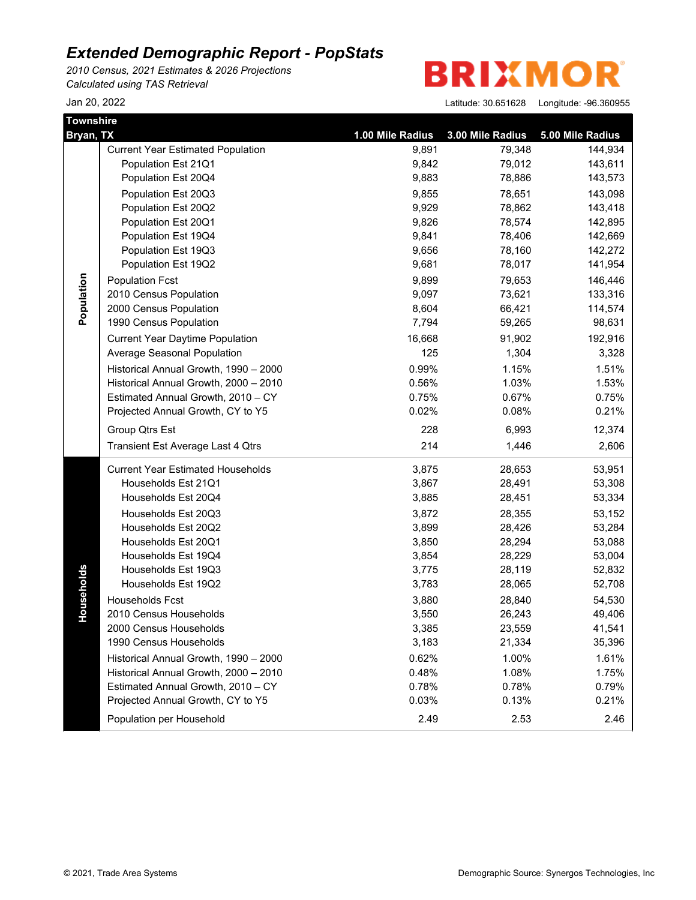*2010 Census, 2021 Estimates & 2026 Projections Calculated using TAS Retrieval*

**BRIXMOR** 

| Townshire<br>Bryan, TX |                                          | 1.00 Mile Radius | 3.00 Mile Radius | 5.00 Mile Radius |
|------------------------|------------------------------------------|------------------|------------------|------------------|
|                        | <b>Current Year Estimated Population</b> | 9,891            | 79,348           | 144,934          |
|                        | Population Est 21Q1                      | 9,842            | 79,012           | 143,611          |
|                        | Population Est 20Q4                      | 9,883            | 78,886           | 143,573          |
|                        | Population Est 20Q3                      | 9,855            | 78,651           | 143,098          |
|                        | Population Est 20Q2                      | 9,929            | 78,862           | 143,418          |
|                        | Population Est 20Q1                      | 9,826            | 78,574           | 142,895          |
|                        | Population Est 19Q4                      | 9,841            | 78,406           | 142,669          |
|                        | Population Est 19Q3                      | 9,656            | 78,160           | 142,272          |
|                        | Population Est 19Q2                      | 9,681            | 78,017           | 141,954          |
|                        | <b>Population Fcst</b>                   | 9,899            | 79,653           | 146,446          |
| Population             | 2010 Census Population                   | 9,097            | 73,621           | 133,316          |
|                        | 2000 Census Population                   | 8,604            | 66,421           | 114,574          |
|                        | 1990 Census Population                   | 7,794            | 59,265           | 98,631           |
|                        | <b>Current Year Daytime Population</b>   | 16,668           | 91,902           | 192,916          |
|                        | Average Seasonal Population              | 125              | 1,304            | 3,328            |
|                        | Historical Annual Growth, 1990 - 2000    | 0.99%            | 1.15%            | 1.51%            |
|                        | Historical Annual Growth, 2000 - 2010    | 0.56%            | 1.03%            | 1.53%            |
|                        | Estimated Annual Growth, 2010 - CY       | 0.75%            | 0.67%            | 0.75%            |
|                        | Projected Annual Growth, CY to Y5        | 0.02%            | 0.08%            | 0.21%            |
|                        | Group Qtrs Est                           | 228              | 6,993            | 12,374           |
|                        | Transient Est Average Last 4 Qtrs        | 214              | 1,446            | 2,606            |
|                        | <b>Current Year Estimated Households</b> | 3,875            | 28,653           | 53,951           |
|                        | Households Est 21Q1                      | 3,867            | 28,491           | 53,308           |
|                        | Households Est 20Q4                      | 3,885            | 28,451           | 53,334           |
|                        | Households Est 20Q3                      | 3,872            | 28,355           | 53,152           |
|                        | Households Est 20Q2                      | 3,899            | 28,426           | 53,284           |
|                        | Households Est 20Q1                      | 3,850            | 28,294           | 53,088           |
|                        | Households Est 19Q4                      | 3,854            | 28,229           | 53,004           |
|                        | Households Est 19Q3                      | 3,775            | 28,119           | 52,832           |
| Households             | Households Est 19Q2                      | 3,783            | 28,065           | 52,708           |
|                        | Households Fcst                          | 3,880            | 28,840           | 54,530           |
|                        | 2010 Census Households                   | 3,550            | 26,243           | 49,406           |
|                        | 2000 Census Households                   | 3,385            | 23,559           | 41,541           |
|                        | 1990 Census Households                   | 3,183            | 21,334           | 35,396           |
|                        | Historical Annual Growth, 1990 - 2000    | 0.62%            | 1.00%            | 1.61%            |
|                        | Historical Annual Growth, 2000 - 2010    | 0.48%            | 1.08%            | 1.75%            |
|                        | Estimated Annual Growth, 2010 - CY       | 0.78%            | 0.78%            | 0.79%            |
|                        | Projected Annual Growth, CY to Y5        | 0.03%            | 0.13%            | 0.21%            |
|                        | Population per Household                 | 2.49             | 2.53             | 2.46             |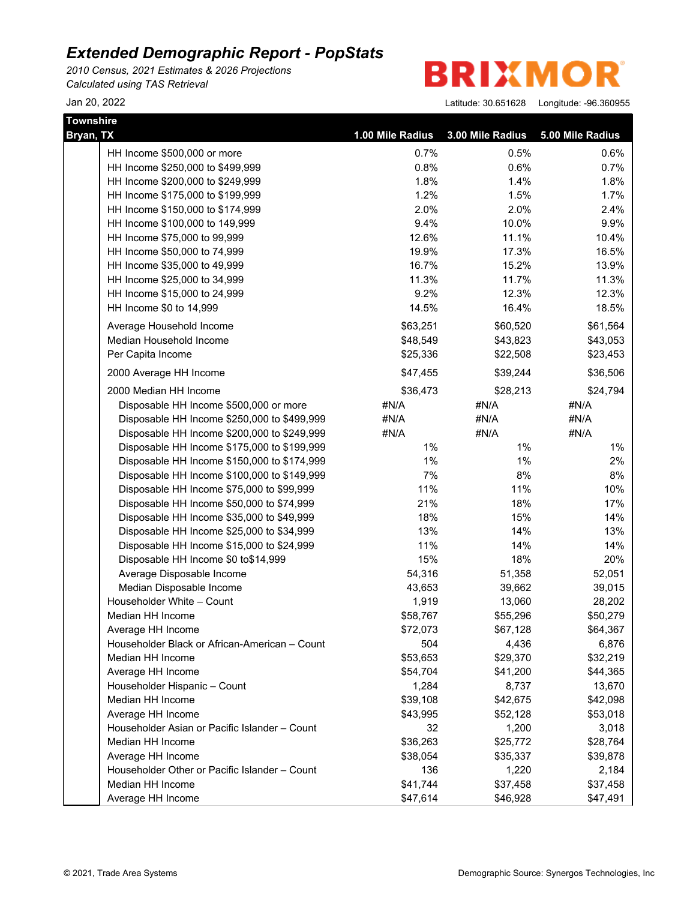*2010 Census, 2021 Estimates & 2026 Projections Calculated using TAS Retrieval*

**BRIXMO** R

| <b>Townshire</b>                              |                  |                  |                  |
|-----------------------------------------------|------------------|------------------|------------------|
| Bryan, TX                                     | 1.00 Mile Radius | 3.00 Mile Radius | 5.00 Mile Radius |
| HH Income \$500,000 or more                   | 0.7%             | 0.5%             | 0.6%             |
| HH Income \$250,000 to \$499,999              | 0.8%             | 0.6%             | 0.7%             |
| HH Income \$200,000 to \$249,999              | 1.8%             | 1.4%             | 1.8%             |
| HH Income \$175,000 to \$199,999              | 1.2%             | 1.5%             | 1.7%             |
| HH Income \$150,000 to \$174,999              | 2.0%             | 2.0%             | 2.4%             |
| HH Income \$100,000 to 149,999                | 9.4%             | 10.0%            | 9.9%             |
| HH Income \$75,000 to 99,999                  | 12.6%            | 11.1%            | 10.4%            |
| HH Income \$50,000 to 74,999                  | 19.9%            | 17.3%            | 16.5%            |
| HH Income \$35,000 to 49,999                  | 16.7%            | 15.2%            | 13.9%            |
| HH Income \$25,000 to 34,999                  | 11.3%            | 11.7%            | 11.3%            |
| HH Income \$15,000 to 24,999                  | 9.2%             | 12.3%            | 12.3%            |
| HH Income \$0 to 14,999                       | 14.5%            | 16.4%            | 18.5%            |
| Average Household Income                      | \$63,251         | \$60,520         | \$61,564         |
| Median Household Income                       | \$48,549         | \$43,823         | \$43,053         |
| Per Capita Income                             | \$25,336         | \$22,508         | \$23,453         |
| 2000 Average HH Income                        | \$47,455         | \$39,244         | \$36,506         |
| 2000 Median HH Income                         | \$36,473         | \$28,213         | \$24,794         |
| Disposable HH Income \$500,000 or more        | #N/A             | #N/A             | #N/A             |
| Disposable HH Income \$250,000 to \$499,999   | #N/A             | #N/A             | #N/A             |
| Disposable HH Income \$200,000 to \$249,999   | #N/A             | #N/A             | #N/A             |
| Disposable HH Income \$175,000 to \$199,999   | $1\%$            | $1\%$            | $1\%$            |
| Disposable HH Income \$150,000 to \$174,999   | $1\%$            | 1%               | 2%               |
| Disposable HH Income \$100,000 to \$149,999   | 7%               | 8%               | 8%               |
| Disposable HH Income \$75,000 to \$99,999     | 11%              | 11%              | 10%              |
| Disposable HH Income \$50,000 to \$74,999     | 21%              | 18%              | 17%              |
| Disposable HH Income \$35,000 to \$49,999     | 18%              | 15%              | 14%              |
| Disposable HH Income \$25,000 to \$34,999     | 13%              | 14%              | 13%              |
| Disposable HH Income \$15,000 to \$24,999     | 11%              | 14%              | 14%              |
| Disposable HH Income \$0 to\$14,999           | 15%              | 18%              | 20%              |
| Average Disposable Income                     | 54,316           | 51,358           | 52,051           |
| Median Disposable Income                      | 43,653           | 39,662           | 39,015           |
| Householder White - Count                     | 1,919            | 13,060           | 28,202           |
| Median HH Income                              | \$58,767         | \$55,296         | \$50,279         |
| Average HH Income                             | \$72,073         | \$67,128         | \$64,367         |
| Householder Black or African-American - Count | 504              | 4,436            | 6,876            |
| Median HH Income                              | \$53,653         | \$29,370         | \$32,219         |
| Average HH Income                             | \$54,704         | \$41,200         | \$44,365         |
| Householder Hispanic - Count                  | 1,284            | 8,737            | 13,670           |
| Median HH Income                              | \$39,108         | \$42,675         | \$42,098         |
| Average HH Income                             | \$43,995         | \$52,128         | \$53,018         |
| Householder Asian or Pacific Islander - Count | 32               | 1,200            | 3,018            |
| Median HH Income                              | \$36,263         | \$25,772         | \$28,764         |
| Average HH Income                             | \$38,054         | \$35,337         | \$39,878         |
| Householder Other or Pacific Islander - Count | 136              | 1,220            | 2,184            |
| Median HH Income                              | \$41,744         | \$37,458         | \$37,458         |
| Average HH Income                             | \$47,614         | \$46,928         | \$47,491         |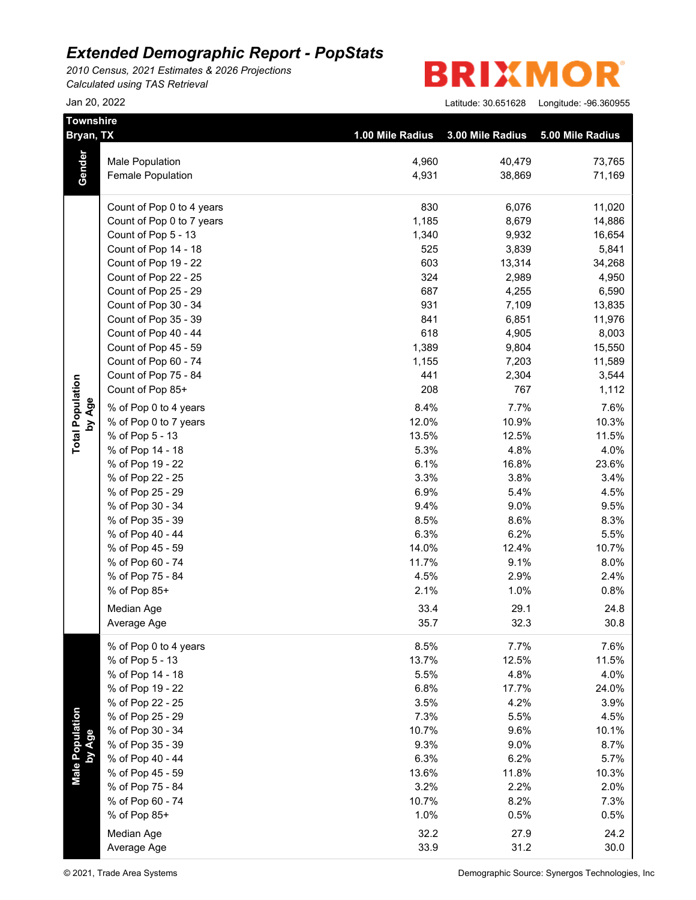*2010 Census, 2021 Estimates & 2026 Projections Calculated using TAS Retrieval*

| <b>Townshire</b><br>Bryan, TX |                           | 1.00 Mile Radius | 3.00 Mile Radius | 5.00 Mile Radius |
|-------------------------------|---------------------------|------------------|------------------|------------------|
|                               |                           |                  |                  |                  |
|                               | <b>Male Population</b>    | 4,960            | 40,479           | 73,765           |
| Gender                        | <b>Female Population</b>  | 4,931            | 38,869           | 71,169           |
|                               | Count of Pop 0 to 4 years | 830              | 6,076            | 11,020           |
|                               | Count of Pop 0 to 7 years | 1,185            | 8,679            | 14,886           |
|                               | Count of Pop 5 - 13       | 1,340            | 9,932            | 16,654           |
|                               | Count of Pop 14 - 18      | 525              | 3,839            | 5,841            |
|                               | Count of Pop 19 - 22      | 603              | 13,314           | 34,268           |
|                               | Count of Pop 22 - 25      | 324              | 2,989            | 4,950            |
|                               | Count of Pop 25 - 29      | 687              | 4,255            | 6,590            |
|                               | Count of Pop 30 - 34      | 931              | 7,109            | 13,835           |
|                               | Count of Pop 35 - 39      | 841              | 6,851            | 11,976           |
|                               | Count of Pop 40 - 44      | 618              | 4,905            | 8,003            |
|                               | Count of Pop 45 - 59      | 1,389            | 9,804            | 15,550           |
|                               | Count of Pop 60 - 74      | 1,155            | 7,203            | 11,589           |
|                               | Count of Pop 75 - 84      | 441              | 2,304            | 3,544            |
|                               | Count of Pop 85+          | 208              | 767              | 1,112            |
| by Age                        | % of Pop 0 to 4 years     | 8.4%             | 7.7%             | 7.6%             |
|                               | % of Pop 0 to 7 years     | 12.0%            | 10.9%            | 10.3%            |
|                               | % of Pop 5 - 13           | 13.5%            | 12.5%            | 11.5%            |
| <b>Total Population</b>       | % of Pop 14 - 18          | 5.3%             | 4.8%             | 4.0%             |
|                               | % of Pop 19 - 22          | 6.1%             | 16.8%            | 23.6%            |
|                               | % of Pop 22 - 25          | 3.3%             | 3.8%             | 3.4%             |
|                               | % of Pop 25 - 29          | 6.9%             | 5.4%             | 4.5%             |
|                               | % of Pop 30 - 34          | 9.4%             | 9.0%             | 9.5%             |
|                               | % of Pop 35 - 39          | 8.5%             | 8.6%             | 8.3%             |
|                               | % of Pop 40 - 44          | 6.3%             | 6.2%             | 5.5%             |
|                               | % of Pop 45 - 59          | 14.0%            | 12.4%            | 10.7%            |
|                               | % of Pop 60 - 74          | 11.7%            | 9.1%             | 8.0%             |
|                               | % of Pop 75 - 84          | 4.5%             | 2.9%             | 2.4%             |
|                               | % of Pop 85+              | 2.1%             | 1.0%             | 0.8%             |
|                               | Median Age                | 33.4             | 29.1             | 24.8             |
|                               | Average Age               | 35.7             | 32.3             | 30.8             |
|                               | % of Pop 0 to 4 years     | 8.5%             | 7.7%             | 7.6%             |
|                               | % of Pop 5 - 13           | 13.7%            | 12.5%            | 11.5%            |
|                               | % of Pop 14 - 18          | 5.5%             | 4.8%             | 4.0%             |
|                               | % of Pop 19 - 22          | 6.8%             | 17.7%            | 24.0%            |
|                               | % of Pop 22 - 25          | 3.5%             | 4.2%             | 3.9%             |
|                               | % of Pop 25 - 29          | 7.3%             | 5.5%             | 4.5%             |
| Male Population<br>by Age     | % of Pop 30 - 34          | 10.7%            | 9.6%             | 10.1%            |
|                               | % of Pop 35 - 39          | 9.3%             | 9.0%             | 8.7%             |
|                               | % of Pop 40 - 44          | 6.3%             | 6.2%             | 5.7%             |
|                               | % of Pop 45 - 59          | 13.6%            | 11.8%            | 10.3%            |
|                               | % of Pop 75 - 84          | 3.2%             | 2.2%             | 2.0%             |
|                               | % of Pop 60 - 74          | 10.7%            | 8.2%             | 7.3%             |
|                               | % of Pop 85+              | 1.0%             | 0.5%             | 0.5%             |
|                               | Median Age                | 32.2             | 27.9             | 24.2             |
|                               | Average Age               | 33.9             | 31.2             | 30.0             |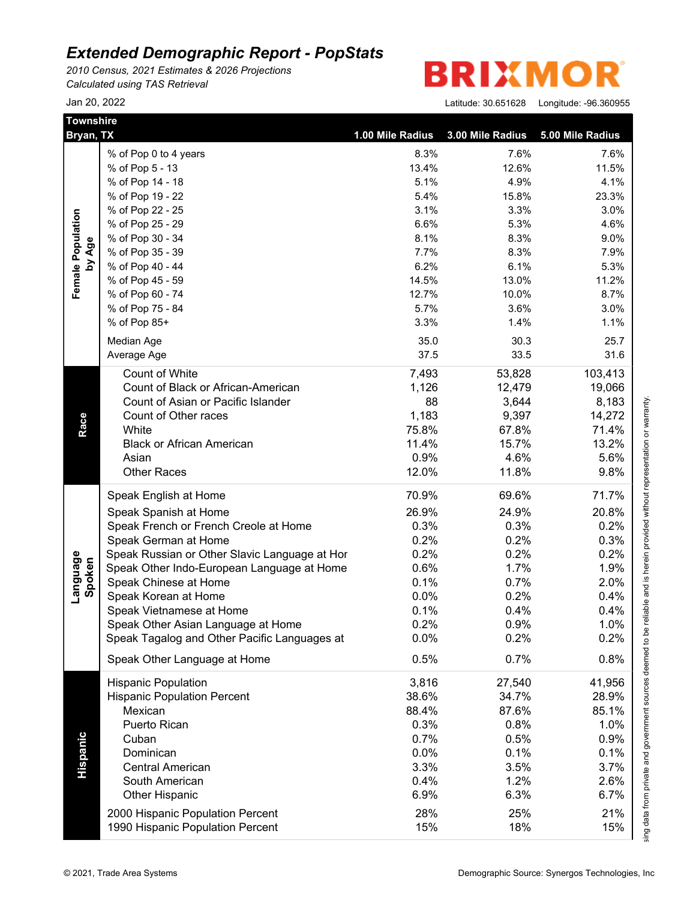*2010 Census, 2021 Estimates & 2026 Projections Calculated using TAS Retrieval*

| <b>Townshire</b><br>Bryan, TX |                                               | 1.00 Mile Radius | 3.00 Mile Radius | 5.00 Mile Radius |
|-------------------------------|-----------------------------------------------|------------------|------------------|------------------|
|                               | % of Pop 0 to 4 years                         | 8.3%             | 7.6%             | 7.6%             |
|                               | % of Pop 5 - 13                               | 13.4%            | 12.6%            | 11.5%            |
|                               | % of Pop 14 - 18                              | 5.1%             | 4.9%             | 4.1%             |
|                               | % of Pop 19 - 22                              | 5.4%             | 15.8%            | 23.3%            |
|                               | % of Pop 22 - 25                              | 3.1%             | 3.3%             | 3.0%             |
|                               | % of Pop 25 - 29                              | 6.6%             | 5.3%             | 4.6%             |
|                               | % of Pop 30 - 34                              | 8.1%             | 8.3%             | 9.0%             |
| by Age                        | % of Pop 35 - 39                              | 7.7%             | 8.3%             | 7.9%             |
|                               | % of Pop 40 - 44                              | 6.2%             | 6.1%             | 5.3%             |
|                               | % of Pop 45 - 59                              | 14.5%            | 13.0%            | 11.2%            |
|                               | % of Pop 60 - 74                              | 12.7%            | 10.0%            | 8.7%             |
|                               | % of Pop 75 - 84                              | 5.7%             | 3.6%             | 3.0%             |
|                               | % of Pop 85+                                  | 3.3%             | 1.4%             | 1.1%             |
|                               | Median Age                                    | 35.0             | 30.3             | 25.7             |
|                               | Average Age                                   | 37.5             | 33.5             | 31.6             |
|                               |                                               |                  |                  |                  |
|                               | Count of White                                | 7,493            | 53,828           | 103,413          |
|                               | Count of Black or African-American            | 1,126            | 12,479           | 19,066           |
|                               | Count of Asian or Pacific Islander            | 88               | 3,644            | 8,183            |
|                               | Count of Other races                          | 1,183            | 9,397            | 14,272           |
| Race                          | White                                         | 75.8%            | 67.8%            | 71.4%            |
|                               | <b>Black or African American</b>              | 11.4%            | 15.7%            | 13.2%            |
|                               | Asian                                         | 0.9%             | 4.6%             | 5.6%             |
|                               | <b>Other Races</b>                            | 12.0%            | 11.8%            | 9.8%             |
|                               | Speak English at Home                         | 70.9%            | 69.6%            | 71.7%            |
|                               | Speak Spanish at Home                         | 26.9%            | 24.9%            | 20.8%            |
|                               | Speak French or French Creole at Home         | 0.3%             | 0.3%             | 0.2%             |
|                               | Speak German at Home                          | 0.2%             | 0.2%             | 0.3%             |
|                               | Speak Russian or Other Slavic Language at Hor | 0.2%             | 0.2%             | 0.2%             |
|                               | Speak Other Indo-European Language at Home    | 0.6%             | 1.7%             | 1.9%             |
|                               | Speak Chinese at Home                         | 0.1%             | 0.7%             | 2.0%             |
| Language<br>Spoken            | Speak Korean at Home                          | 0.0%             | 0.2%             | 0.4%             |
|                               | Speak Vietnamese at Home                      | 0.1%             | 0.4%             | 0.4%             |
|                               | Speak Other Asian Language at Home            | 0.2%             | 0.9%             | 1.0%             |
|                               | Speak Tagalog and Other Pacific Languages at  | 0.0%             | 0.2%             | 0.2%             |
|                               | Speak Other Language at Home                  | 0.5%             | 0.7%             | 0.8%             |
|                               | <b>Hispanic Population</b>                    | 3,816            | 27,540           | 41,956           |
|                               | <b>Hispanic Population Percent</b>            | 38.6%            | 34.7%            | 28.9%            |
|                               | Mexican                                       | 88.4%            | 87.6%            | 85.1%            |
|                               | Puerto Rican                                  | 0.3%             | 0.8%             | 1.0%             |
|                               | Cuban                                         | 0.7%             | 0.5%             | 0.9%             |
|                               | Dominican                                     | 0.0%             | 0.1%             | 0.1%             |
|                               | <b>Central American</b>                       | 3.3%             | 3.5%             | 3.7%             |
| Hispanic                      |                                               |                  |                  |                  |
|                               | South American                                | 0.4%             | 1.2%             | 2.6%             |
|                               | <b>Other Hispanic</b>                         | 6.9%             | 6.3%             | 6.7%             |
|                               | 2000 Hispanic Population Percent              | 28%              | 25%              | 21%              |
|                               | 1990 Hispanic Population Percent              | 15%              | 18%              | 15%              |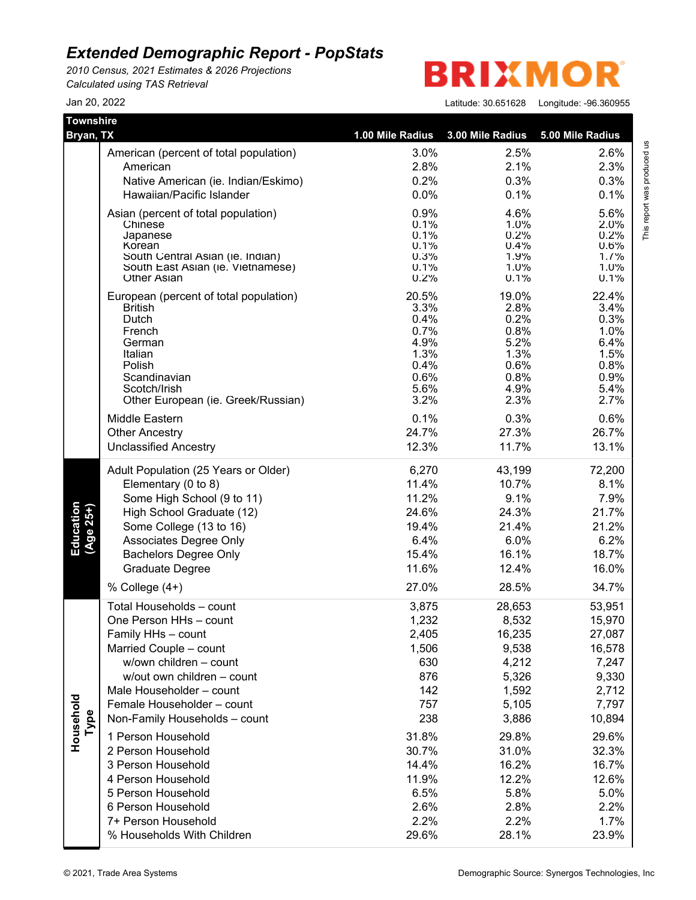*2010 Census, 2021 Estimates & 2026 Projections Calculated using TAS Retrieval*

**BRIXMO** R

| Townshire<br>Bryan, TX |                                                         | 1.00 Mile Radius | 3.00 Mile Radius | 5.00 Mile Radius |
|------------------------|---------------------------------------------------------|------------------|------------------|------------------|
|                        | American (percent of total population)                  | 3.0%             | 2.5%             | 2.6%             |
|                        | American                                                | 2.8%             | 2.1%             | 2.3%             |
|                        | Native American (ie. Indian/Eskimo)                     | 0.2%             | 0.3%             | 0.3%             |
|                        | Hawaiian/Pacific Islander                               | 0.0%             | 0.1%             | 0.1%             |
|                        | Asian (percent of total population)                     | 0.9%             | 4.6%             | 5.6%             |
|                        | Chinese                                                 | 0.1%             | 1.0%             | 2.0%             |
|                        | Japanese<br>Korean                                      | 0.1%<br>0.1%     | 0.2%<br>0.4%     | 0.2%<br>0.6%     |
|                        | South Central Asian (ie. Indian)                        | 0.3%             | 1.9%             | 1.7%             |
|                        | South East Asian (ie. Vietnamese)<br><b>Other Asian</b> | 0.1%<br>0.2%     | 1.0%<br>0.1%     | 1.0%<br>0.1%     |
|                        | European (percent of total population)                  | 20.5%            | 19.0%            | 22.4%            |
|                        | <b>British</b>                                          | 3.3%             | 2.8%             | 3.4%             |
|                        | Dutch                                                   | 0.4%<br>0.7%     | 0.2%<br>0.8%     | 0.3%<br>1.0%     |
|                        | French<br>German                                        | 4.9%             | 5.2%             | 6.4%             |
|                        | Italian                                                 | 1.3%             | 1.3%             | 1.5%             |
|                        | Polish                                                  | 0.4%             | 0.6%             | 0.8%             |
|                        | Scandinavian<br>Scotch/Irish                            | 0.6%<br>5.6%     | 0.8%<br>4.9%     | 0.9%<br>5.4%     |
|                        | Other European (ie. Greek/Russian)                      | 3.2%             | 2.3%             | 2.7%             |
|                        | Middle Eastern                                          | 0.1%             | 0.3%             | 0.6%             |
|                        | <b>Other Ancestry</b>                                   | 24.7%            | 27.3%            | 26.7%            |
|                        | <b>Unclassified Ancestry</b>                            | 12.3%            | 11.7%            | 13.1%            |
|                        | Adult Population (25 Years or Older)                    | 6,270            | 43,199           | 72,200           |
|                        | Elementary (0 to 8)                                     | 11.4%            | 10.7%            | 8.1%             |
|                        | Some High School (9 to 11)                              | 11.2%            | 9.1%             | 7.9%             |
|                        | High School Graduate (12)                               | 24.6%            | 24.3%            | 21.7%            |
| Education<br>(Age 25+) | Some College (13 to 16)                                 | 19.4%<br>6.4%    | 21.4%<br>6.0%    | 21.2%<br>6.2%    |
|                        | Associates Degree Only<br><b>Bachelors Degree Only</b>  | 15.4%            | 16.1%            | 18.7%            |
|                        | <b>Graduate Degree</b>                                  | 11.6%            | 12.4%            | 16.0%            |
|                        | % College (4+)                                          | 27.0%            | 28.5%            | 34.7%            |
|                        | Total Households - count                                | 3,875            | 28,653           | 53,951           |
|                        | One Person HHs - count                                  | 1,232            | 8,532            | 15,970           |
|                        | Family HHs - count                                      | 2,405            | 16,235           | 27,087           |
|                        | Married Couple - count                                  | 1,506            | 9,538            | 16,578           |
|                        | w/own children - count                                  | 630              | 4,212            | 7,247            |
|                        | w/out own children - count                              | 876              | 5,326            | 9,330            |
|                        | Male Householder - count                                | 142              | 1,592            | 2,712            |
|                        | Female Householder - count                              | 757              | 5,105            | 7,797            |
| Type                   | Non-Family Households - count                           | 238              | 3,886            | 10,894           |
| Household              | 1 Person Household                                      | 31.8%            | 29.8%            | 29.6%            |
|                        | 2 Person Household                                      | 30.7%            | 31.0%            | 32.3%            |
|                        | 3 Person Household                                      | 14.4%            | 16.2%            | 16.7%            |
|                        | 4 Person Household                                      | 11.9%            | 12.2%            | 12.6%            |
|                        | 5 Person Household                                      | 6.5%             | 5.8%             | 5.0%             |
|                        | 6 Person Household                                      | 2.6%             | 2.8%             | 2.2%             |
|                        | 7+ Person Household                                     | 2.2%             | 2.2%             | 1.7%             |
|                        | % Households With Children                              | 29.6%            | 28.1%            | 23.9%            |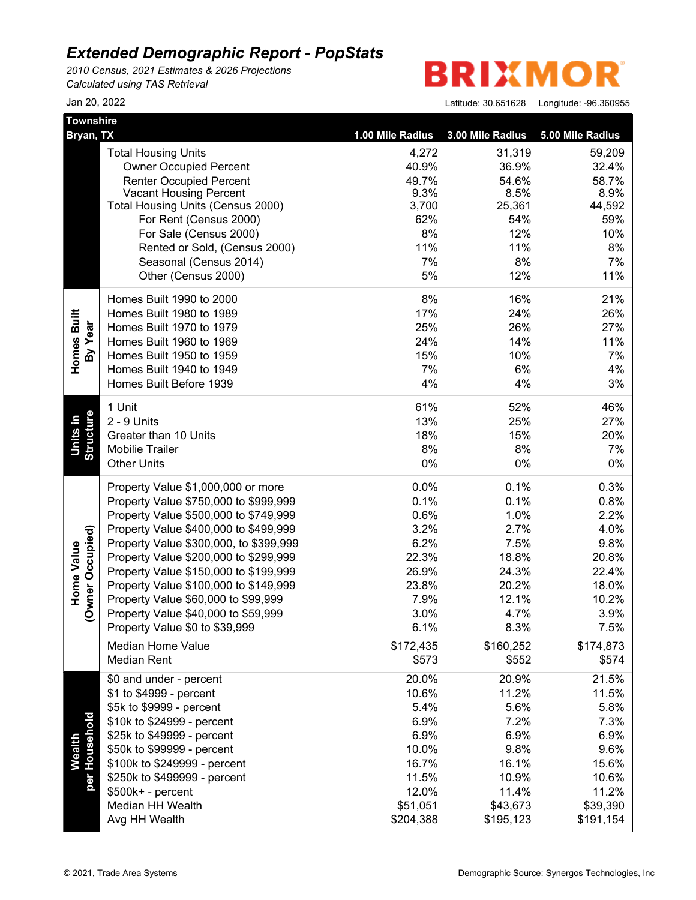*2010 Census, 2021 Estimates & 2026 Projections Calculated using TAS Retrieval*

**BRIXMOR** 

| Jan 20, 2022 | 30.651628<br>Latitude: | Longitude: - 96.360955 |
|--------------|------------------------|------------------------|
|--------------|------------------------|------------------------|

| <b>Townshire</b>                      |                                                                              |                    | 3.00 Mile Radius   | 5.00 Mile Radius   |
|---------------------------------------|------------------------------------------------------------------------------|--------------------|--------------------|--------------------|
| Bryan, TX                             |                                                                              | 1.00 Mile Radius   |                    |                    |
|                                       | <b>Total Housing Units</b>                                                   | 4,272              | 31,319             | 59,209             |
|                                       | <b>Owner Occupied Percent</b>                                                | 40.9%              | 36.9%              | 32.4%              |
|                                       | <b>Renter Occupied Percent</b><br><b>Vacant Housing Percent</b>              | 49.7%<br>9.3%      | 54.6%<br>8.5%      | 58.7%<br>8.9%      |
|                                       | Total Housing Units (Census 2000)                                            | 3,700              | 25,361             | 44,592             |
|                                       | For Rent (Census 2000)                                                       | 62%                | 54%                | 59%                |
|                                       | For Sale (Census 2000)                                                       | 8%                 | 12%                | 10%                |
|                                       | Rented or Sold, (Census 2000)                                                | 11%                | 11%                | 8%                 |
|                                       | Seasonal (Census 2014)                                                       | 7%                 | 8%                 | 7%                 |
|                                       | Other (Census 2000)                                                          | 5%                 | 12%                | 11%                |
|                                       | Homes Built 1990 to 2000                                                     | 8%                 | 16%                | 21%                |
|                                       | Homes Built 1980 to 1989                                                     | 17%                | 24%                | 26%                |
| Homes Built<br>By Year                | Homes Built 1970 to 1979                                                     | 25%                | 26%                | 27%                |
|                                       | Homes Built 1960 to 1969                                                     | 24%                | 14%                | 11%                |
|                                       | Homes Built 1950 to 1959                                                     | 15%                | 10%                | 7%                 |
|                                       | Homes Built 1940 to 1949                                                     | 7%                 | 6%                 | 4%                 |
|                                       | Homes Built Before 1939                                                      | 4%                 | 4%                 | 3%                 |
|                                       | 1 Unit                                                                       | 61%                | 52%                | 46%                |
| Units in                              | 2 - 9 Units                                                                  | 13%                | 25%                | 27%                |
|                                       | Greater than 10 Units                                                        | 18%                | 15%                | 20%                |
| Structure                             | <b>Mobilie Trailer</b>                                                       | 8%                 | 8%                 | 7%                 |
|                                       | <b>Other Units</b>                                                           | 0%                 | 0%                 | 0%                 |
|                                       | Property Value \$1,000,000 or more                                           | 0.0%               | 0.1%               | 0.3%               |
|                                       | Property Value \$750,000 to \$999,999                                        | 0.1%               | 0.1%               | 0.8%               |
|                                       | Property Value \$500,000 to \$749,999                                        | 0.6%               | 1.0%               | 2.2%               |
|                                       | Property Value \$400,000 to \$499,999                                        | 3.2%               | 2.7%               | 4.0%               |
|                                       | Property Value \$300,000, to \$399,999                                       | 6.2%<br>22.3%      | 7.5%<br>18.8%      | 9.8%               |
|                                       | Property Value \$200,000 to \$299,999                                        | 26.9%              | 24.3%              | 20.8%<br>22.4%     |
|                                       | Property Value \$150,000 to \$199,999                                        | 23.8%              | 20.2%              | 18.0%              |
| (Owner Occupied)<br><b>Home Value</b> | Property Value \$100,000 to \$149,999<br>Property Value \$60,000 to \$99,999 | 7.9%               | 12.1%              | 10.2%              |
|                                       | Property Value \$40,000 to \$59,999                                          | 3.0%               | 4.7%               | 3.9%               |
|                                       | Property Value \$0 to \$39,999                                               | 6.1%               | 8.3%               | 7.5%               |
|                                       |                                                                              |                    |                    |                    |
|                                       | Median Home Value<br><b>Median Rent</b>                                      | \$172,435<br>\$573 | \$160,252<br>\$552 | \$174,873<br>\$574 |
|                                       | \$0 and under - percent                                                      | 20.0%              | 20.9%              | 21.5%              |
|                                       | \$1 to \$4999 - percent                                                      | 10.6%              | 11.2%              | 11.5%              |
|                                       | \$5k to \$9999 - percent                                                     | 5.4%               | 5.6%               | 5.8%               |
|                                       | \$10k to \$24999 - percent                                                   | 6.9%               | 7.2%               | 7.3%               |
|                                       | \$25k to \$49999 - percent                                                   | 6.9%               | 6.9%               | 6.9%               |
|                                       | \$50k to \$99999 - percent                                                   | 10.0%              | 9.8%               | 9.6%               |
| per Household<br>Wealth               | \$100k to \$249999 - percent                                                 | 16.7%              | 16.1%              | 15.6%              |
|                                       | \$250k to \$499999 - percent                                                 | 11.5%              | 10.9%              | 10.6%              |
|                                       | \$500k+ - percent                                                            | 12.0%              | 11.4%              | 11.2%              |
|                                       | Median HH Wealth                                                             | \$51,051           | \$43,673           | \$39,390           |
|                                       | Avg HH Wealth                                                                | \$204,388          | \$195,123          | \$191,154          |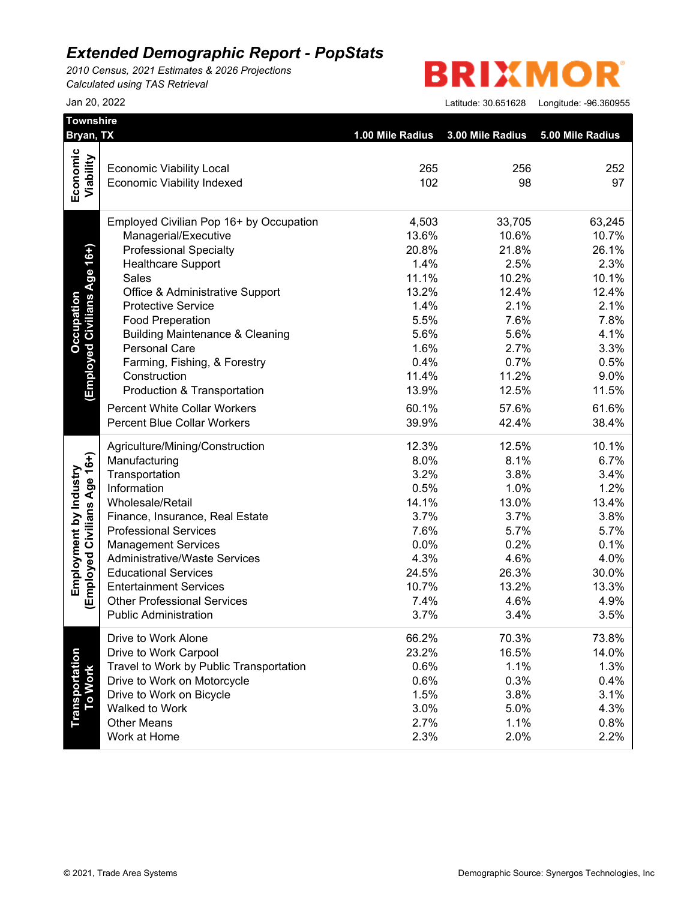*2010 Census, 2021 Estimates & 2026 Projections Calculated using TAS Retrieval*

**BRIXMO** R

| Bryan, TX                    |                                            |                  |                  |                  |
|------------------------------|--------------------------------------------|------------------|------------------|------------------|
|                              |                                            | 1.00 Mile Radius | 3.00 Mile Radius | 5.00 Mile Radius |
| Economic                     |                                            |                  |                  |                  |
|                              | <b>Economic Viability Local</b>            | 265<br>102       | 256<br>98        | 252<br>97        |
| Viability                    | <b>Economic Viability Indexed</b>          |                  |                  |                  |
|                              | Employed Civilian Pop 16+ by Occupation    | 4,503            | 33,705           | 63,245           |
|                              | Managerial/Executive                       | 13.6%            | 10.6%            | 10.7%            |
| Age 16+)                     | <b>Professional Specialty</b>              | 20.8%            | 21.8%            | 26.1%            |
|                              | <b>Healthcare Support</b>                  | 1.4%             | 2.5%             | 2.3%             |
|                              | Sales                                      | 11.1%            | 10.2%            | 10.1%            |
|                              | Office & Administrative Support            | 13.2%            | 12.4%            | 12.4%            |
|                              | <b>Protective Service</b>                  | 1.4%             | 2.1%             | 2.1%             |
| <b>Employed Civilians</b>    | <b>Food Preperation</b>                    | 5.5%             | 7.6%             | 7.8%             |
|                              | <b>Building Maintenance &amp; Cleaning</b> | 5.6%             | 5.6%             | 4.1%             |
|                              | <b>Personal Care</b>                       | 1.6%             | 2.7%             | 3.3%             |
|                              | Farming, Fishing, & Forestry               | 0.4%             | 0.7%             | 0.5%             |
|                              | Construction                               | 11.4%            | 11.2%            | 9.0%             |
|                              | Production & Transportation                | 13.9%            | 12.5%            | 11.5%            |
|                              | <b>Percent White Collar Workers</b>        | 60.1%            | 57.6%            | 61.6%            |
|                              | <b>Percent Blue Collar Workers</b>         | 39.9%            | 42.4%            | 38.4%            |
|                              | Agriculture/Mining/Construction            | 12.3%            | 12.5%            | 10.1%            |
|                              | Manufacturing                              | 8.0%             | 8.1%             | 6.7%             |
|                              | Transportation                             | 3.2%             | 3.8%             | 3.4%             |
|                              | Information                                | 0.5%             | 1.0%             | 1.2%             |
|                              | Wholesale/Retail                           | 14.1%            | 13.0%            | 13.4%            |
|                              | Finance, Insurance, Real Estate            | 3.7%             | 3.7%             | 3.8%             |
|                              | <b>Professional Services</b>               | 7.6%             | 5.7%             | 5.7%             |
|                              | <b>Management Services</b>                 | 0.0%             | 0.2%             | 0.1%             |
| (Employed Civilians Age 16+) | <b>Administrative/Waste Services</b>       | 4.3%             | 4.6%             | 4.0%             |
|                              | <b>Educational Services</b>                | 24.5%            | 26.3%            | 30.0%            |
|                              | <b>Entertainment Services</b>              | 10.7%            | 13.2%            | 13.3%            |
|                              | <b>Other Professional Services</b>         | 7.4%             | 4.6%             | 4.9%             |
|                              | <b>Public Administration</b>               | 3.7%             | 3.4%             | 3.5%             |
|                              | Drive to Work Alone                        | 66.2%            | 70.3%            | 73.8%            |
|                              | Drive to Work Carpool                      | 23.2%            | 16.5%            | 14.0%            |
|                              | Travel to Work by Public Transportation    | 0.6%             | 1.1%             | 1.3%             |
| To Work                      | Drive to Work on Motorcycle                | 0.6%             | 0.3%             | 0.4%             |
|                              | Drive to Work on Bicycle                   | 1.5%             | 3.8%             | 3.1%             |
|                              | Walked to Work                             | 3.0%             | 5.0%             | 4.3%             |
|                              | <b>Other Means</b><br>Work at Home         | 2.7%             | 1.1%             | 0.8%             |
|                              |                                            | 2.3%             | 2.0%             | 2.2%             |